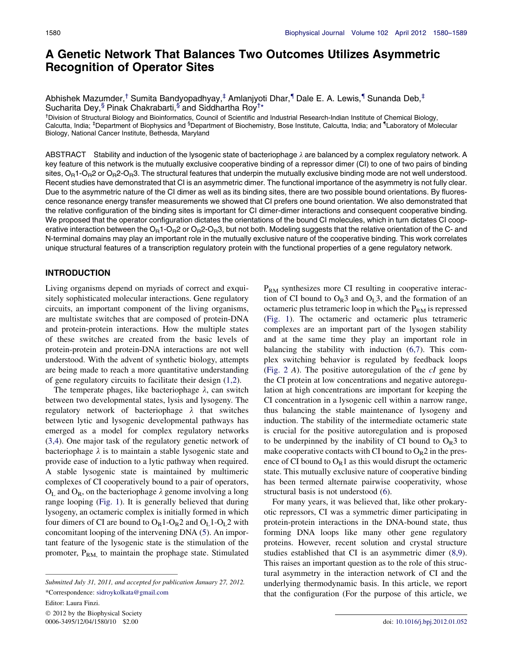# A Genetic Network That Balances Two Outcomes Utilizes Asymmetric Recognition of Operator Sites

Abhishek Mazumder,<sup>†</sup> Sumita Bandyopadhyay,<sup>‡</sup> Amlanjyoti Dhar,<sup>¶</sup> Dale E. A. Lewis,<sup>¶</sup> Sunanda Deb,<sup>‡</sup> Sucharita Dey, <sup>§</sup> Pinak Chakrabarti, <sup>§'</sup>and Siddhartha Roy<sup>†\*</sup>

†Division of Structural Biology and Bioinformatics, Council of Scientific and Industrial Research-Indian Institute of Chemical Biology, Calcutta, India; <sup>‡</sup>Department of Biophysics and <sup>§</sup>Department of Biochemistry, Bose Institute, Calcutta, India; and <sup>¶</sup>Laboratory of Molecular Biology, National Cancer Institute, Bethesda, Maryland

ABSTRACT Stability and induction of the lysogenic state of bacteriophage  $\lambda$  are balanced by a complex regulatory network. A key feature of this network is the mutually exclusive cooperative binding of a repressor dimer (CI) to one of two pairs of binding sites,  $O_R1-O_R2$  or  $O_R2-O_R3$ . The structural features that underpin the mutually exclusive binding mode are not well understood. Recent studies have demonstrated that CI is an asymmetric dimer. The functional importance of the asymmetry is not fully clear. Due to the asymmetric nature of the CI dimer as well as its binding sites, there are two possible bound orientations. By fluorescence resonance energy transfer measurements we showed that CI prefers one bound orientation. We also demonstrated that the relative configuration of the binding sites is important for CI dimer-dimer interactions and consequent cooperative binding. We proposed that the operator configuration dictates the orientations of the bound CI molecules, which in turn dictates CI cooperative interaction between the  $O_R1-O_R2$  or  $O_R2-O_R3$ , but not both. Modeling suggests that the relative orientation of the C- and N-terminal domains may play an important role in the mutually exclusive nature of the cooperative binding. This work correlates unique structural features of a transcription regulatory protein with the functional properties of a gene regulatory network.

# INTRODUCTION

Living organisms depend on myriads of correct and exquisitely sophisticated molecular interactions. Gene regulatory circuits, an important component of the living organisms, are multistate switches that are composed of protein-DNA and protein-protein interactions. How the multiple states of these switches are created from the basic levels of protein-protein and protein-DNA interactions are not well understood. With the advent of synthetic biology, attempts are being made to reach a more quantitative understanding of gene regulatory circuits to facilitate their design (1,2).

The temperate phages, like bacteriophage  $\lambda$ , can switch between two developmental states, lysis and lysogeny. The regulatory network of bacteriophage  $\lambda$  that switches between lytic and lysogenic developmental pathways has emerged as a model for complex regulatory networks (3,4). One major task of the regulatory genetic network of bacteriophage  $\lambda$  is to maintain a stable lysogenic state and provide ease of induction to a lytic pathway when required. A stable lysogenic state is maintained by multimeric complexes of CI cooperatively bound to a pair of operators,  $O<sub>L</sub>$  and  $O<sub>R</sub>$ , on the bacteriophage  $\lambda$  genome involving a long range looping (Fig. 1). It is generally believed that during lysogeny, an octameric complex is initially formed in which four dimers of CI are bound to  $O_R1-O_R2$  and  $O_L1-O_L2$  with concomitant looping of the intervening DNA (5). An important feature of the lysogenic state is the stimulation of the promoter,  $P_{RM}$  to maintain the prophage state. Stimulated

Editor: Laura Finzi.

 2012 by the Biophysical Society 0006-3495/12/04/1580/10 \$2.00 doi: 10.1016/j.bpj.2012.01.052

 $P_{RM}$  synthesizes more CI resulting in cooperative interaction of CI bound to  $O_R3$  and  $O_L3$ , and the formation of an octameric plus tetrameric loop in which the P<sub>RM</sub> is repressed (Fig. 1). The octameric and octameric plus tetrameric complexes are an important part of the lysogen stability and at the same time they play an important role in balancing the stability with induction (6,7). This complex switching behavior is regulated by feedback loops (Fig. 2 A). The positive autoregulation of the  $cI$  gene by the CI protein at low concentrations and negative autoregulation at high concentrations are important for keeping the CI concentration in a lysogenic cell within a narrow range, thus balancing the stable maintenance of lysogeny and induction. The stability of the intermediate octameric state is crucial for the positive autoregulation and is proposed to be underpinned by the inability of CI bound to  $O_R$ 3 to make cooperative contacts with CI bound to  $O_R2$  in the presence of CI bound to  $O_R1$  as this would disrupt the octameric state. This mutually exclusive nature of cooperative binding has been termed alternate pairwise cooperativity, whose structural basis is not understood (6).

For many years, it was believed that, like other prokaryotic repressors, CI was a symmetric dimer participating in protein-protein interactions in the DNA-bound state, thus forming DNA loops like many other gene regulatory proteins. However, recent solution and crystal structure studies established that CI is an asymmetric dimer (8,9). This raises an important question as to the role of this structural asymmetry in the interaction network of CI and the underlying thermodynamic basis. In this article, we report that the configuration (For the purpose of this article, we

Submitted July 31, 2011, and accepted for publication January 27, 2012. \*Correspondence: sidroykolkata@gmail.com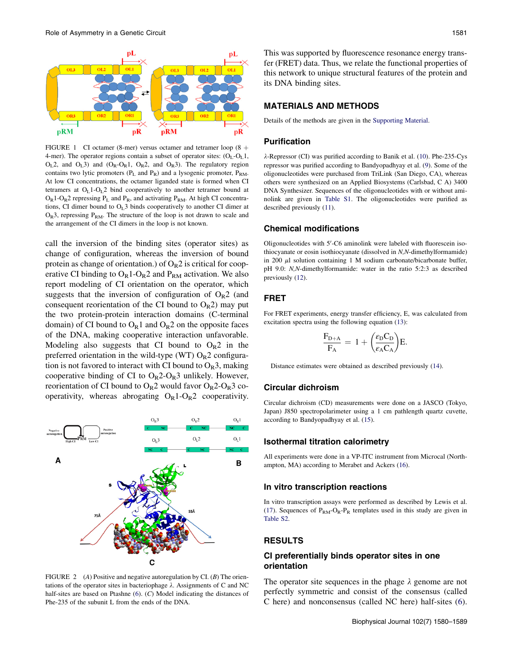

FIGURE 1 CI octamer (8-mer) versus octamer and tetramer loop (8  $+$ 4-mer). The operator regions contain a subset of operator sites:  $(O_L-O_L1, O_R1)$  $O_{L}2$ , and  $O_{L}3$ ) and  $(O_{R}-O_{R}1, O_{R}2,$  and  $O_{R}3$ ). The regulatory region contains two lytic promoters ( $P_L$  and  $P_R$ ) and a lysogenic promoter,  $P_{RM}$ . At low CI concentrations, the octamer liganded state is formed when CI tetramers at  $O_L$ 1- $O_L$ 2 bind cooperatively to another tetramer bound at  $O_R1-O_R2$  repressing  $P_L$  and  $P_R$ , and activating  $P_{RM}$ . At high CI concentrations, CI dimer bound to  $O<sub>L</sub>$ 3 binds cooperatively to another CI dimer at  $O_R3$ , repressing  $P_{RM}$ . The structure of the loop is not drawn to scale and the arrangement of the CI dimers in the loop is not known.

call the inversion of the binding sites (operator sites) as change of configuration, whereas the inversion of bound protein as change of orientation.) of  $O_R2$  is critical for cooperative CI binding to  $O_R1-O_R2$  and  $P_{RM}$  activation. We also report modeling of CI orientation on the operator, which suggests that the inversion of configuration of  $O_R2$  (and consequent reorientation of the CI bound to  $O_R2$ ) may put the two protein-protein interaction domains (C-terminal domain) of CI bound to  $O_R1$  and  $O_R2$  on the opposite faces of the DNA, making cooperative interaction unfavorable. Modeling also suggests that CI bound to  $O_R2$  in the preferred orientation in the wild-type (WT)  $O_R2$  configuration is not favored to interact with CI bound to  $O_R3$ , making cooperative binding of CI to  $O_R2-O_R3$  unlikely. However, reorientation of CI bound to  $O_R2$  would favor  $O_R2-O_R3$  cooperativity, whereas abrogating  $O_R1-O_R2$  cooperativity.



FIGURE 2 (A) Positive and negative autoregulation by CI.  $(B)$  The orientations of the operator sites in bacteriophage  $\lambda$ . Assignments of C and NC half-sites are based on Ptashne (6). (C) Model indicating the distances of Phe-235 of the subunit L from the ends of the DNA.

This was supported by fluorescence resonance energy transfer (FRET) data. Thus, we relate the functional properties of this network to unique structural features of the protein and its DNA binding sites.

## MATERIALS AND METHODS

Details of the methods are given in the Supporting Material.

### Purification

l-Repressor (CI) was purified according to Banik et al. (10). Phe-235-Cys repressor was purified according to Bandyopadhyay et al. (9). Some of the oligonucleotides were purchased from TriLink (San Diego, CA), whereas others were synthesized on an Applied Biosystems (Carlsbad, C A) 3400 DNA Synthesizer. Sequences of the oligonucleotides with or without aminolink are given in Table S1. The oligonucleotides were purified as described previously (11).

### Chemical modifications

Oligonucleotides with 5'-C6 aminolink were labeled with fluorescein isothiocyanate or eosin isothiocyanate (dissolved in N,N-dimethylformamide) in 200  $\mu$ l solution containing 1 M sodium carbonate/bicarbonate buffer, pH 9.0: N,N-dimethylformamide: water in the ratio 5:2:3 as described previously (12).

### FRET

For FRET experiments, energy transfer efficiency, E, was calculated from excitation spectra using the following equation (13):

$$
\frac{F_{D+A}}{F_A} = 1 + \left(\frac{\varepsilon_D C_D}{\varepsilon_A C_A}\right) E.
$$

Distance estimates were obtained as described previously (14).

#### Circular dichroism

Circular dichroism (CD) measurements were done on a JASCO (Tokyo, Japan) J850 spectropolarimeter using a 1 cm pathlength quartz cuvette, according to Bandyopadhyay et al. (15).

### Isothermal titration calorimetry

All experiments were done in a VP-ITC instrument from Microcal (Northampton, MA) according to Merabet and Ackers (16).

### In vitro transcription reactions

In vitro transcription assays were performed as described by Lewis et al. (17). Sequences of  $P_{RM}$ -O<sub>R</sub>-P<sub>R</sub> templates used in this study are given in Table S2.

# RESULTS

### CI preferentially binds operator sites in one orientation

The operator site sequences in the phage  $\lambda$  genome are not perfectly symmetric and consist of the consensus (called C here) and nonconsensus (called NC here) half-sites (6).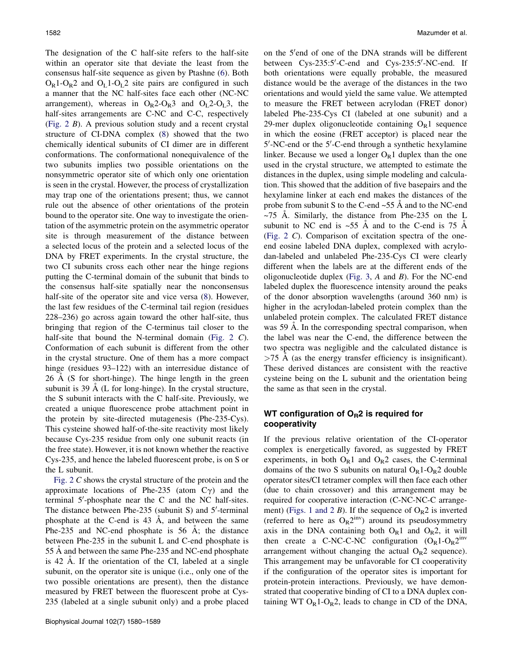The designation of the C half-site refers to the half-site within an operator site that deviate the least from the consensus half-site sequence as given by Ptashne (6). Both  $O_R1-O_R2$  and  $O_L1-O_L2$  site pairs are configured in such a manner that the NC half-sites face each other (NC-NC arrangement), whereas in  $O_R2-O_R3$  and  $O_L2-O_L3$ , the half-sites arrangements are C-NC and C-C, respectively (Fig. 2 B). A previous solution study and a recent crystal structure of CI-DNA complex (8) showed that the two chemically identical subunits of CI dimer are in different conformations. The conformational nonequivalence of the two subunits implies two possible orientations on the nonsymmetric operator site of which only one orientation is seen in the crystal. However, the process of crystallization may trap one of the orientations present; thus, we cannot rule out the absence of other orientations of the protein bound to the operator site. One way to investigate the orientation of the asymmetric protein on the asymmetric operator site is through measurement of the distance between a selected locus of the protein and a selected locus of the DNA by FRET experiments. In the crystal structure, the two CI subunits cross each other near the hinge regions putting the C-terminal domain of the subunit that binds to the consensus half-site spatially near the nonconsensus half-site of the operator site and vice versa (8). However, the last few residues of the C-terminal tail region (residues 228–236) go across again toward the other half-site, thus bringing that region of the C-terminus tail closer to the half-site that bound the N-terminal domain (Fig. 2 C). Conformation of each subunit is different from the other in the crystal structure. One of them has a more compact hinge (residues 93–122) with an interresidue distance of  $26$  Å (S for short-hinge). The hinge length in the green subunit is  $39 \text{ Å}$  (L for long-hinge). In the crystal structure, the S subunit interacts with the C half-site. Previously, we created a unique fluorescence probe attachment point in the protein by site-directed mutagenesis (Phe-235-Cys). This cysteine showed half-of-the-site reactivity most likely because Cys-235 residue from only one subunit reacts (in the free state). However, it is not known whether the reactive Cys-235, and hence the labeled fluorescent probe, is on S or the L subunit.

Fig. 2 C shows the crystal structure of the protein and the approximate locations of Phe-235 (atom  $C_{\gamma}$ ) and the terminal  $5'$ -phosphate near the C and the NC half-sites. The distance between Phe-235 (subunit S) and  $5'$ -terminal phosphate at the C-end is  $43$  Å, and between the same Phe-235 and NC-end phosphate is  $56$  Å; the distance between Phe-235 in the subunit L and C-end phosphate is 55 Å and between the same Phe-235 and NC-end phosphate is 42 A. If the orientation of the CI, labeled at a single subunit, on the operator site is unique (i.e., only one of the two possible orientations are present), then the distance measured by FRET between the fluorescent probe at Cys-235 (labeled at a single subunit only) and a probe placed

on the 5'end of one of the DNA strands will be different between Cys-235:5'-C-end and Cys-235:5'-NC-end. If both orientations were equally probable, the measured distance would be the average of the distances in the two orientations and would yield the same value. We attempted to measure the FRET between acrylodan (FRET donor) labeled Phe-235-Cys CI (labeled at one subunit) and a 29-mer duplex oligonucleotide containing  $O_R1$  sequence in which the eosine (FRET acceptor) is placed near the 5'-NC-end or the 5'-C-end through a synthetic hexylamine linker. Because we used a longer  $O_R1$  duplex than the one used in the crystal structure, we attempted to estimate the distances in the duplex, using simple modeling and calculation. This showed that the addition of five basepairs and the hexylamine linker at each end makes the distances of the probe from subunit S to the C-end  $\sim$  55 Å and to the NC-end  $~\sim$ 75 A. Similarly, the distance from Phe-235 on the L subunit to NC end is  $\sim$  55 A and to the C-end is 75 A (Fig. 2 C). Comparison of excitation spectra of the oneend eosine labeled DNA duplex, complexed with acrylodan-labeled and unlabeled Phe-235-Cys CI were clearly different when the labels are at the different ends of the oligonucleotide duplex (Fig. 3,  $A$  and  $B$ ). For the NC-end labeled duplex the fluorescence intensity around the peaks of the donor absorption wavelengths (around 360 nm) is higher in the acrylodan-labeled protein complex than the unlabeled protein complex. The calculated FRET distance was 59 Å. In the corresponding spectral comparison, when the label was near the C-end, the difference between the two spectra was negligible and the calculated distance is  $>75$  Å (as the energy transfer efficiency is insignificant). These derived distances are consistent with the reactive cysteine being on the L subunit and the orientation being the same as that seen in the crystal.

# WT configuration of  $O_R2$  is required for cooperativity

If the previous relative orientation of the CI-operator complex is energetically favored, as suggested by FRET experiments, in both  $O_R1$  and  $O_R2$  cases, the C-terminal domains of the two S subunits on natural  $O_R1-O_R2$  double operator sites/CI tetramer complex will then face each other (due to chain crossover) and this arrangement may be required for cooperative interaction (C-NC-NC-C arrangement) (Figs. 1 and 2 B). If the sequence of  $O_R2$  is inverted (referred to here as  $O_R2^{inv}$ ) around its pseudosymmetry axis in the DNA containing both  $O_R1$  and  $O_R2$ , it will then create a C-NC-C-NC configuration  $(O_R 1-O_R 2^{inv})$ arrangement without changing the actual  $O_R2$  sequence). This arrangement may be unfavorable for CI cooperativity if the configuration of the operator sites is important for protein-protein interactions. Previously, we have demonstrated that cooperative binding of CI to a DNA duplex containing WT  $O_R1-O_R2$ , leads to change in CD of the DNA,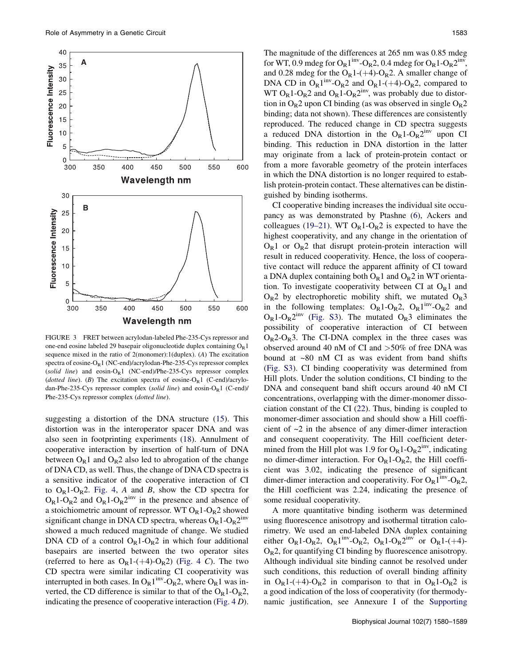

FIGURE 3 FRET between acrylodan-labeled Phe-235-Cys repressor and one-end eosine labeled 29 basepair oligonucleotide duplex containing  $O_R1$ sequence mixed in the ratio of 2(monomer):1(duplex). (A) The excitation spectra of eosine- $O_R1$  (NC-end)/acrylodan-Phe-235-Cys repressor complex (solid line) and  $eosin-O_R1$  (NC-end)/Phe-235-Cys repressor complex (dotted line). (B) The excitation spectra of eosine-O<sub>R</sub>1 (C-end)/acrylodan-Phe-235-Cys repressor complex (solid line) and eosin-O<sub>R</sub>1 (C-end)/ Phe-235-Cys repressor complex (dotted line).

suggesting a distortion of the DNA structure (15). This distortion was in the interoperator spacer DNA and was also seen in footprinting experiments (18). Annulment of cooperative interaction by insertion of half-turn of DNA between  $O_R1$  and  $O_R2$  also led to abrogation of the change of DNA CD, as well. Thus, the change of DNA CD spectra is a sensitive indicator of the cooperative interaction of CI to  $O_R1-O_R2$ . Fig. 4, A and B, show the CD spectra for  $O_R1-O_R2$  and  $O_R1-O_R2^{\text{inv}}$  in the presence and absence of a stoichiometric amount of repressor. WT OR1-OR2 showed significant change in DNA CD spectra, whereas  $O_R1-O_R2^{inv}$ showed a much reduced magnitude of change. We studied DNA CD of a control  $O_R1-O_R2$  in which four additional basepairs are inserted between the two operator sites (referred to here as  $O_R1-(+4)-O_R2$ ) (Fig. 4 C). The two CD spectra were similar indicating CI cooperativity was interrupted in both cases. In  $O_R1^{inv}$ -O<sub>R</sub>2, where  $O_R1$  was inverted, the CD difference is similar to that of the  $O_R1-O_R2$ , indicating the presence of cooperative interaction (Fig. 4 D). The magnitude of the differences at 265 nm was 0.85 mdeg for WT, 0.9 mdeg for  $O_R1^{inv}$ -O<sub>R</sub>2, 0.4 mdeg for  $O_R1-O_R2^{inv}$ , and 0.28 mdeg for the  $O_R1-(+4)-O_R2$ . A smaller change of DNA CD in  $O_R1^{inv}-O_R2$  and  $O_R1- (+4)-O_R2$ , compared to WT O<sub>R</sub>1-O<sub>R</sub>2 and O<sub>R</sub>1-O<sub>R</sub>2<sup>inv</sup>, was probably due to distortion in  $O_R$ 2 upon CI binding (as was observed in single  $O_R$ 2 binding; data not shown). These differences are consistently reproduced. The reduced change in CD spectra suggests a reduced DNA distortion in the  $O_R1-O_R2^{inv}$  upon CI binding. This reduction in DNA distortion in the latter may originate from a lack of protein-protein contact or from a more favorable geometry of the protein interfaces in which the DNA distortion is no longer required to estab-

lish protein-protein contact. These alternatives can be distin-

guished by binding isotherms. CI cooperative binding increases the individual site occupancy as was demonstrated by Ptashne (6), Ackers and colleagues (19–21). WT  $O_R1-O_R2$  is expected to have the highest cooperativity, and any change in the orientation of  $O_R1$  or  $O_R2$  that disrupt protein-protein interaction will result in reduced cooperativity. Hence, the loss of cooperative contact will reduce the apparent affinity of CI toward a DNA duplex containing both  $O_R1$  and  $O_R2$  in WT orientation. To investigate cooperativity between CI at  $O_R1$  and  $O_R$ 2 by electrophoretic mobility shift, we mutated  $O_R$ 3 in the following templates:  $O_R 1-O_R 2$ ,  $O_R 1^{\text{inv}}-O_R 2$  and  $O_R1-O_R2^{inv}$  (Fig. S3). The mutated  $O_R3$  eliminates the possibility of cooperative interaction of CI between  $O_R2-O_R3$ . The CI-DNA complex in the three cases was observed around 40 nM of CI and >50% of free DNA was bound at ~80 nM CI as was evident from band shifts (Fig. S3). CI binding cooperativity was determined from Hill plots. Under the solution conditions, CI binding to the DNA and consequent band shift occurs around 40 nM CI concentrations, overlapping with the dimer-monomer dissociation constant of the CI (22). Thus, binding is coupled to monomer-dimer association and should show a Hill coefficient of  $\sim$ 2 in the absence of any dimer-dimer interaction and consequent cooperativity. The Hill coefficient determined from the Hill plot was 1.9 for  $O_R1-O_R2^{inv}$ , indicating no dimer-dimer interaction. For  $O_R1-O_R2$ , the Hill coefficient was 3.02, indicating the presence of significant dimer-dimer interaction and cooperativity. For  $O_R1^{inv} - O_R2$ , the Hill coefficient was 2.24, indicating the presence of some residual cooperativity.

A more quantitative binding isotherm was determined using fluorescence anisotropy and isothermal titration calorimetry. We used an end-labeled DNA duplex containing either  $O_R 1 - O_R 2$ ,  $O_R 1^{\text{inv}} - O_R 2$ ,  $O_R 1 - O_R 2^{\text{inv}}$  or  $O_R 1 - (+4)$  $O_R$ 2, for quantifying CI binding by fluorescence anisotropy. Although individual site binding cannot be resolved under such conditions, this reduction of overall binding affinity in  $O_R$ 1-(+4)- $O_R$ 2 in comparison to that in  $O_R$ 1- $O_R$ 2 is a good indication of the loss of cooperativity (for thermodynamic justification, see Annexure I of the Supporting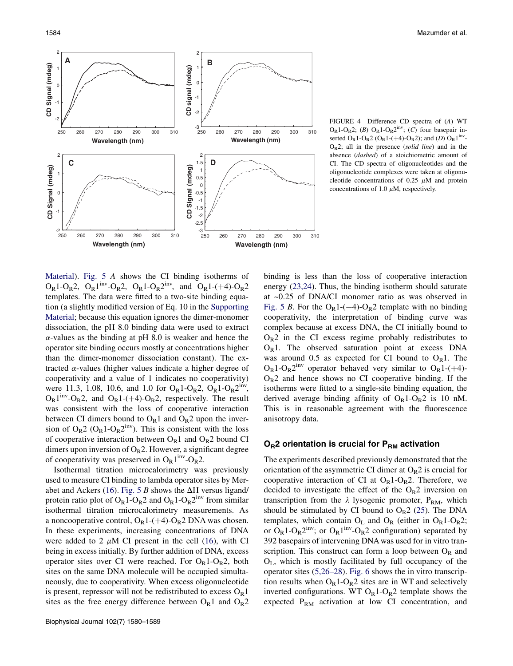

FIGURE 4 Difference CD spectra of (A) WT  $O_R$ 1- $O_R$ 2; (B)  $O_R$ 1- $O_R$ 2<sup>inv</sup>; (C) four basepair inserted O<sub>R</sub>1-O<sub>R</sub>2 (O<sub>R</sub>1-(+4)-O<sub>R</sub>2); and (D) O<sub>R</sub>1<sup>inv</sup>- $O_R2$ ; all in the presence (solid line) and in the absence (dashed) of a stoichiometric amount of CI. The CD spectra of oligonucleotides and the oligonucleotide complexes were taken at oligonucleotide concentrations of  $0.25 \mu M$  and protein concentrations of 1.0  $\mu$ M, respectively.

Material). Fig. 5 A shows the CI binding isotherms of  $O_R1-O_R2$ ,  $O_R1^{inv}O_R2$ ,  $O_R1-O_R2^{inv}$ , and  $O_R1-(+4)-O_R2$ templates. The data were fitted to a two-site binding equation (a slightly modified version of Eq. 10 in the Supporting Material; because this equation ignores the dimer-monomer dissociation, the pH 8.0 binding data were used to extract  $\alpha$ -values as the binding at pH 8.0 is weaker and hence the operator site binding occurs mostly at concentrations higher than the dimer-monomer dissociation constant). The extracted  $\alpha$ -values (higher values indicate a higher degree of cooperativity and a value of 1 indicates no cooperativity) were 11.3, 1.08, 10.6, and 1.0 for  $O_R1-O_R2$ ,  $O_R1-O_R2^{inv}$ ,  $O_R1^{inv}$ - $O_R2$ , and  $O_R1-(+4)-O_R2$ , respectively. The result was consistent with the loss of cooperative interaction between CI dimers bound to  $O_R1$  and  $O_R2$  upon the inversion of  $O_R2$  ( $O_R1-O_R2^{inv}$ ). This is consistent with the loss of cooperative interaction between  $O_R1$  and  $O_R2$  bound CI dimers upon inversion of  $O_R2$ . However, a significant degree of cooperativity was preserved in  $O_R1^{inv}$ - $O_R2$ .

Isothermal titration microcalorimetry was previously used to measure CI binding to lambda operator sites by Merabet and Ackers (16). Fig. 5 B shows the  $\Delta H$  versus ligand/ protein ratio plot of  $O_R1-O_R2$  and  $O_R1-O_R2^{inv}$  from similar isothermal titration microcalorimetry measurements. As a noncooperative control,  $O_R1-(+4)-O_R2$  DNA was chosen. In these experiments, increasing concentrations of DNA were added to 2  $\mu$ M CI present in the cell (16), with CI being in excess initially. By further addition of DNA, excess operator sites over CI were reached. For  $O_R1-O_R2$ , both sites on the same DNA molecule will be occupied simultaneously, due to cooperativity. When excess oligonucleotide is present, repressor will not be redistributed to excess  $O_R1$ sites as the free energy difference between  $O_R1$  and  $O_R2$  binding is less than the loss of cooperative interaction energy (23,24). Thus, the binding isotherm should saturate at ~0.25 of DNA/CI monomer ratio as was observed in Fig. 5 B. For the  $O_R1-(+4)-O_R2$  template with no binding cooperativity, the interpretation of binding curve was complex because at excess DNA, the CI initially bound to  $O_R2$  in the CI excess regime probably redistributes to  $O_R1$ . The observed saturation point at excess DNA was around 0.5 as expected for CI bound to  $O_R1$ . The  $O_R1-O_R2^{inv}$  operator behaved very similar to  $O_R1-(+4)$ - $O_R2$  and hence shows no CI cooperative binding. If the isotherms were fitted to a single-site binding equation, the derived average binding affinity of  $O_R1-O_R2$  is 10 nM. This is in reasonable agreement with the fluorescence anisotropy data.

### $O_R$ 2 orientation is crucial for  $P_{RM}$  activation

The experiments described previously demonstrated that the orientation of the asymmetric CI dimer at  $O_R2$  is crucial for cooperative interaction of CI at  $O_R1-O_R2$ . Therefore, we decided to investigate the effect of the  $O_R2$  inversion on transcription from the  $\lambda$  lysogenic promoter, P<sub>RM</sub>, which should be stimulated by CI bound to  $O_R2$  (25). The DNA templates, which contain  $O_L$  and  $O_R$  (either in  $O_R1-O_R2$ ; or  $\hat{O}_R 1 - O_R 2^{inv}$ ; or  $O_R 1^{inv} - O_R 2$  configuration) separated by 392 basepairs of intervening DNA was used for in vitro transcription. This construct can form a loop between  $O_R$  and  $O<sub>L</sub>$ , which is mostly facilitated by full occupancy of the operator sites (5,26–28). Fig. 6 shows the in vitro transcription results when  $O_R1-O_R2$  sites are in WT and selectively inverted configurations. WT  $O_R1-O_R2$  template shows the expected  $P_{RM}$  activation at low CI concentration, and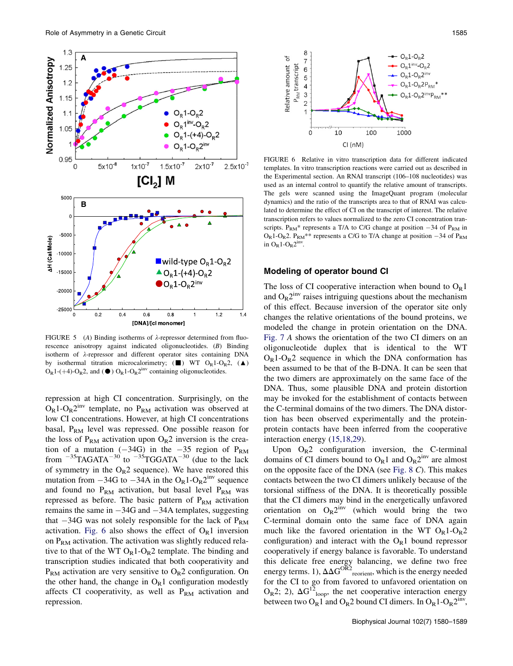

FIGURE 5 (A) Binding isotherms of  $\lambda$ -repressor determined from fluorescence anisotropy against indicated oligonucleotides. (B) Binding isotherm of  $\lambda$ -repressor and different operator sites containing DNA by isothermal titration microcalorimetry;  $(\blacksquare)$  WT O<sub>R</sub>1-O<sub>R</sub>2, ( $\blacktriangle$ )  $O_R1- (+4)-O_R2$ , and ( $\bullet$ )  $O_R1-O_R2^{\text{inv}}$  containing oligonucleotides.

repression at high CI concentration. Surprisingly, on the  $O_R$ 1- $O_R$ 2<sup>inv</sup> template, no P<sub>RM</sub> activation was observed at low CI concentrations. However, at high CI concentrations basal,  $P_{RM}$  level was repressed. One possible reason for the loss of  $P_{RM}$  activation upon  $O_R2$  inversion is the creation of a mutation  $(-34G)$  in the  $-35$  region of  $P_{RM}$ from  $-35$ TAGATA $-30$  to  $-35$ TGGATA $-30$  (due to the lack of symmetry in the  $O_R2$  sequence). We have restored this mutation from  $-34G$  to  $-34A$  in the  $O_R1-O_R2^{inv}$  sequence and found no  $P_{RM}$  activation, but basal level  $P_{RM}$  was repressed as before. The basic pattern of P<sub>RM</sub> activation remains the same in  $-34G$  and  $-34A$  templates, suggesting that  $-34G$  was not solely responsible for the lack of  $P_{RM}$ activation. Fig. 6 also shows the effect of  $O_R1$  inversion on  $P_{RM}$  activation. The activation was slightly reduced relative to that of the WT  $O_R1-O_R2$  template. The binding and transcription studies indicated that both cooperativity and  $P_{RM}$  activation are very sensitive to  $O_R2$  configuration. On the other hand, the change in  $O_R1$  configuration modestly affects CI cooperativity, as well as  $P_{RM}$  activation and repression.



FIGURE 6 Relative in vitro transcription data for different indicated templates. In vitro transcription reactions were carried out as described in the Experimental section. An RNAI transcript (106–108 nucleotides) was used as an internal control to quantify the relative amount of transcripts. The gels were scanned using the ImageQuant program (molecular dynamics) and the ratio of the transcripts area to that of RNAI was calculated to determine the effect of CI on the transcript of interest. The relative transcription refers to values normalized to the zero CI concentration transcripts.  $P_{RM}$ <sup>\*</sup> represents a T/A to C/G change at position  $-34$  of  $P_{RM}$  in  $O_R1-O_R2$ .  $P_{RM}$ <sup>\*\*</sup> represents a C/G to T/A change at position  $-34$  of  $P_{RM}$ in  $O_R1-O_R2^{inv}$ .

#### Modeling of operator bound CI

The loss of CI cooperative interaction when bound to  $O_R1$ and  $O_R2^{inv}$  raises intriguing questions about the mechanism of this effect. Because inversion of the operator site only changes the relative orientations of the bound proteins, we modeled the change in protein orientation on the DNA. Fig. 7 A shows the orientation of the two CI dimers on an oligonucleotide duplex that is identical to the WT  $O_R1-O_R2$  sequence in which the DNA conformation has been assumed to be that of the B-DNA. It can be seen that the two dimers are approximately on the same face of the DNA. Thus, some plausible DNA and protein distortion may be invoked for the establishment of contacts between the C-terminal domains of the two dimers. The DNA distortion has been observed experimentally and the proteinprotein contacts have been inferred from the cooperative interaction energy (15,18,29).

Upon  $O_R2$  configuration inversion, the C-terminal domains of CI dimers bound to  $O_R1$  and  $O_R2^{inv}$  are almost on the opposite face of the DNA (see Fig. 8 C). This makes contacts between the two CI dimers unlikely because of the torsional stiffness of the DNA. It is theoretically possible that the CI dimers may bind in the energetically unfavored orientation on  $O_R2^{inv}$  (which would bring the two C-terminal domain onto the same face of DNA again much like the favored orientation in the WT  $O_R1-O_R2$ configuration) and interact with the  $O_R1$  bound repressor cooperatively if energy balance is favorable. To understand this delicate free energy balancing, we define two free energy terms. 1),  $\Delta \Delta G^{\overrightarrow{OR2}}_{\text{reorient}}$ , which is the energy needed for the CI to go from favored to unfavored orientation on  $O_R2$ ; 2),  $\Delta G^{12}$ <sub>loop</sub>, the net cooperative interaction energy between two O<sub>R</sub>1 and O<sub>R</sub>2 bound CI dimers. In O<sub>R</sub>1-O<sub>R</sub>2<sup>inv</sup>,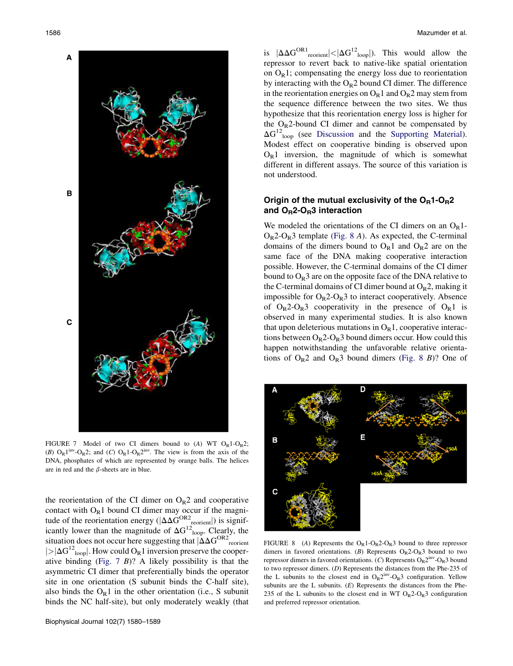

FIGURE 7 Model of two CI dimers bound to  $(A)$  WT  $O_R1-O_R2$ ; (B)  $O_R1^{inv}$ - $O_R2$ ; and (C)  $O_R1$ - $O_R2^{inv}$ . The view is from the axis of the DNA, phosphates of which are represented by orange balls. The helices are in red and the  $\beta$ -sheets are in blue.

the reorientation of the CI dimer on  $O_R2$  and cooperative contact with  $O_R1$  bound CI dimer may occur if the magnitude of the reorientation energy ( $|\Delta\Delta G^{\text{OR2}}_{\text{reorient}}|$ ) is significantly lower than the magnitude of  $\Delta G^{12}$ <sub>loop</sub>. Clearly, the situation does not occur here suggesting that  $|\Delta\Delta G^{\rm OR2}|_{\rm reorient}$  $| > |\Delta G^{12}|_{\text{loop}}|$ . How could  $O_R1$  inversion preserve the cooperative binding (Fig.  $7 B$ )? A likely possibility is that the asymmetric CI dimer that preferentially binds the operator site in one orientation (S subunit binds the C-half site), also binds the  $O_R1$  in the other orientation (i.e., S subunit binds the NC half-site), but only moderately weakly (that

is  $|\Delta\Delta G^{\text{OR1}}|$  reorient  $|\langle \Delta G^{12} \rangle|$  allow the repressor to revert back to native-like spatial orientation on  $O_R$ 1; compensating the energy loss due to reorientation by interacting with the  $O_R2$  bound CI dimer. The difference in the reorientation energies on  $O_R1$  and  $O_R2$  may stem from the sequence difference between the two sites. We thus hypothesize that this reorientation energy loss is higher for the  $O_R$ 2-bound CI dimer and cannot be compensated by  $\Delta G^{12}$ <sub>loop</sub> (see Discussion and the Supporting Material). Modest effect on cooperative binding is observed upon  $O_R1$  inversion, the magnitude of which is somewhat different in different assays. The source of this variation is not understood.

# Origin of the mutual exclusivity of the  $O<sub>B</sub>1-O<sub>B</sub>2$ and  $O_B2-O_B3$  interaction

We modeled the orientations of the CI dimers on an  $O_R1$ - $O_R$ 2- $O_R$ 3 template (Fig. 8 A). As expected, the C-terminal domains of the dimers bound to  $O_R1$  and  $O_R2$  are on the same face of the DNA making cooperative interaction possible. However, the C-terminal domains of the CI dimer bound to  $O_R$ 3 are on the opposite face of the DNA relative to the C-terminal domains of CI dimer bound at  $O_R2$ , making it impossible for  $O_R^2O_R^3$  to interact cooperatively. Absence of  $O_R2-O_R3$  cooperativity in the presence of  $O_R1$  is observed in many experimental studies. It is also known that upon deleterious mutations in  $O_R1$ , cooperative interactions between  $O_R2-O_R3$  bound dimers occur. How could this happen notwithstanding the unfavorable relative orientations of  $O_R2$  and  $O_R3$  bound dimers (Fig. 8 B)? One of



FIGURE 8 (A) Represents the  $O_R1-O_R2-O_R3$  bound to three repressor dimers in favored orientations. (B) Represents  $O_R^2-O_R^3$  bound to two repressor dimers in favored orientations. (C) Represents  $O_R 2^{inv}$ - $O_R 3$  bound to two repressor dimers. (D) Represents the distances from the Phe-235 of the L subunits to the closest end in  $O_R2^{inv}$ - $O_R3$  configuration. Yellow subunits are the L subunits.  $(E)$  Represents the distances from the Phe-235 of the L subunits to the closest end in WT  $O_R$ 2- $O_R$ 3 configuration and preferred repressor orientation.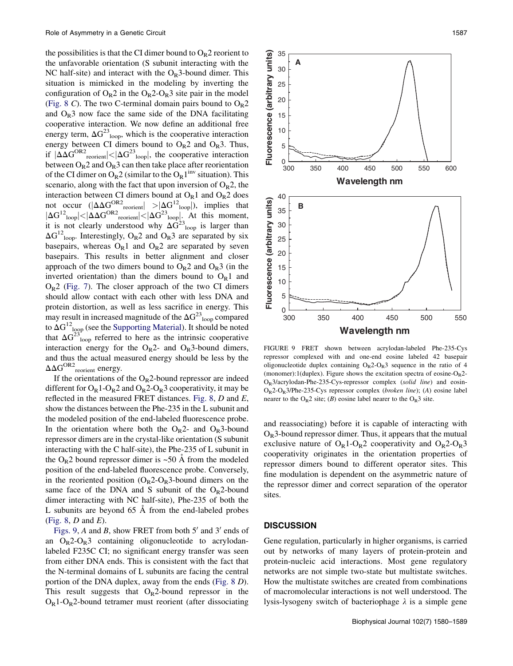the possibilities is that the CI dimer bound to  $O_R2$  reorient to the unfavorable orientation (S subunit interacting with the NC half-site) and interact with the  $O_R3$ -bound dimer. This situation is mimicked in the modeling by inverting the configuration of  $O_R2$  in the  $O_R2-O_R3$  site pair in the model (Fig. 8 C). The two C-terminal domain pairs bound to  $O_R2$ and  $O_R$ 3 now face the same side of the DNA facilitating cooperative interaction. We now define an additional free energy term,  $\Delta G^{23}$ <sub>loop</sub>, which is the cooperative interaction energy between CI dimers bound to  $O_R2$  and  $O_R3$ . Thus, if  $|\Delta\Delta G^{OR2}$ <sub>reorient</sub> $|<|\Delta G^{23}$ <sub>loop</sub>, the cooperative interaction between  $O_R2$  and  $O_R3$  can then take place after reorientation of the CI dimer on  $O_R2$  (similar to the  $O_R1^{inv}$  situation). This scenario, along with the fact that upon inversion of  $O_R2$ , the interaction between CI dimers bound at  $O_R1$  and  $O_R2$  does not occur  $(|\Delta\Delta G^{OR2}_{\text{reorient}}| > |\Delta G^{12}_{\text{loop}}|)$ , implies that  $|\Delta G^{12}|_{\text{loop}}| < |\Delta \Delta G^{\text{OR2}}|_{\text{reorient}} < |\Delta G^{23}|_{\text{loop}}|$ . At this moment, it is not clearly understood why  $\Delta G^{23}$ <sub>loop</sub> is larger than  $\Delta G^{12}$ <sub>loop</sub>. Interestingly, O<sub>R</sub>2 and O<sub>R</sub>3 are separated by six basepairs, whereas  $O_R1$  and  $O_R2$  are separated by seven basepairs. This results in better alignment and closer approach of the two dimers bound to  $O_R2$  and  $O_R3$  (in the inverted orientation) than the dimers bound to  $O_R1$  and  $O_R2$  (Fig. 7). The closer approach of the two CI dimers should allow contact with each other with less DNA and protein distortion, as well as less sacrifice in energy. This may result in increased magnitude of the  $\Delta G^{23}$ <sub>loop</sub> compared to  $\Delta G^{12}$ <sub>loop</sub> (see the Supporting Material). It should be noted that  $\Delta G^{23}$  loop referred to here as the intrinsic cooperative interaction energy for the  $O_R2$ - and  $O_R3$ -bound dimers, and thus the actual measured energy should be less by the  $\Delta\Delta G^{\rm OR2}$ <sub>reorient</sub> energy.

If the orientations of the  $O_R2$ -bound repressor are indeed different for  $O_R$ 1- $O_R$ 2 and  $O_R$ 2- $O_R$ 3 cooperativity, it may be reflected in the measured FRET distances. Fig. 8, D and E, show the distances between the Phe-235 in the L subunit and the modeled position of the end-labeled fluorescence probe. In the orientation where both the  $O_R2$ - and  $O_R3$ -bound repressor dimers are in the crystal-like orientation (S subunit interacting with the C half-site), the Phe-235 of L subunit in the  $O_R2$  bound repressor dimer is ~50 A from the modeled position of the end-labeled fluorescence probe. Conversely, in the reoriented position  $(O_R 2-O_R 3)$ -bound dimers on the same face of the DNA and S subunit of the  $O_R2$ -bound dimer interacting with NC half-site), Phe-235 of both the L subunits are beyond  $65 \text{ Å}$  from the end-labeled probes (Fig.  $8$ ,  $D$  and  $E$ ).

Figs. 9, A and B, show FRET from both  $5'$  and  $3'$  ends of an  $O_R^2O_R^3$  containing oligonucleotide to acrylodanlabeled F235C CI; no significant energy transfer was seen from either DNA ends. This is consistent with the fact that the N-terminal domains of L subunits are facing the central portion of the DNA duplex, away from the ends (Fig. 8 D). This result suggests that  $O_R2$ -bound repressor in the  $O_R$ 1- $O_R$ 2-bound tetramer must reorient (after dissociating



FIGURE 9 FRET shown between acrylodan-labeled Phe-235-Cys repressor complexed with and one-end eosine labeled 42 basepair oligonucleotide duplex containing  $O_R2-O_R3$  sequence in the ratio of 4 (monomer):1(duplex). Figure shows the excitation spectra of eosine- $O_R2$ - $O_R$ 3/acrylodan-Phe-235-Cys-repressor complex (solid line) and eosin- $O_R$ 2- $O_R$ 3/Phe-235-Cys repressor complex (*broken line*); (*A*) eosine label nearer to the  $O_R2$  site; (B) eosine label nearer to the  $O_R3$  site.

and reassociating) before it is capable of interacting with  $O_R$ 3-bound repressor dimer. Thus, it appears that the mutual exclusive nature of  $O_R1-O_R2$  cooperativity and  $O_R2-O_R3$ cooperativity originates in the orientation properties of repressor dimers bound to different operator sites. This fine modulation is dependent on the asymmetric nature of the repressor dimer and correct separation of the operator sites.

#### **DISCUSSION**

Gene regulation, particularly in higher organisms, is carried out by networks of many layers of protein-protein and protein-nucleic acid interactions. Most gene regulatory networks are not simple two-state but multistate switches. How the multistate switches are created from combinations of macromolecular interactions is not well understood. The lysis-lysogeny switch of bacteriophage  $\lambda$  is a simple gene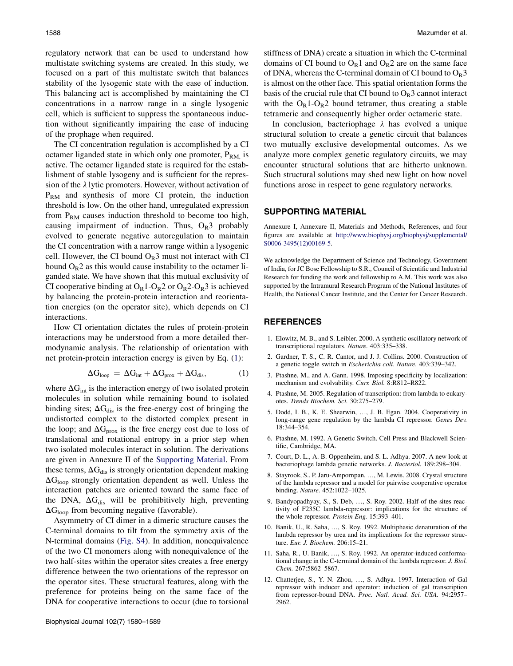regulatory network that can be used to understand how multistate switching systems are created. In this study, we focused on a part of this multistate switch that balances stability of the lysogenic state with the ease of induction. This balancing act is accomplished by maintaining the CI concentrations in a narrow range in a single lysogenic cell, which is sufficient to suppress the spontaneous induction without significantly impairing the ease of inducing of the prophage when required.

The CI concentration regulation is accomplished by a CI octamer liganded state in which only one promoter,  $P_{RM}$  is active. The octamer liganded state is required for the establishment of stable lysogeny and is sufficient for the repression of the  $\lambda$  lytic promoters. However, without activation of  $P_{RM}$  and synthesis of more CI protein, the induction threshold is low. On the other hand, unregulated expression from  $P_{RM}$  causes induction threshold to become too high, causing impairment of induction. Thus,  $O_R$ 3 probably evolved to generate negative autoregulation to maintain the CI concentration with a narrow range within a lysogenic cell. However, the CI bound  $O_R$ 3 must not interact with CI bound  $O_R2$  as this would cause instability to the octamer liganded state. We have shown that this mutual exclusivity of CI cooperative binding at  $O_R1-O_R2$  or  $O_R2-O_R3$  is achieved by balancing the protein-protein interaction and reorientation energies (on the operator site), which depends on CI interactions.

How CI orientation dictates the rules of protein-protein interactions may be understood from a more detailed thermodynamic analysis. The relationship of orientation with net protein-protein interaction energy is given by Eq. (1):

$$
\Delta G_{loop} = \Delta G_{int} + \Delta G_{prox} + \Delta G_{dis}, \qquad (1)
$$

where  $\Delta G_{\text{int}}$  is the interaction energy of two isolated protein molecules in solution while remaining bound to isolated binding sites;  $\Delta G_{dis}$  is the free-energy cost of bringing the undistorted complex to the distorted complex present in the loop; and  $\Delta G_{prox}$  is the free energy cost due to loss of translational and rotational entropy in a prior step when two isolated molecules interact in solution. The derivations are given in Annexure II of the Supporting Material. From these terms,  $\Delta G_{dis}$  is strongly orientation dependent making  $\Delta G_{\text{loop}}$  strongly orientation dependent as well. Unless the interaction patches are oriented toward the same face of the DNA,  $\Delta G_{dis}$  will be prohibitively high, preventing  $\Delta G_{loop}$  from becoming negative (favorable).

Asymmetry of CI dimer in a dimeric structure causes the C-terminal domains to tilt from the symmetry axis of the N-terminal domains (Fig. S4). In addition, nonequivalence of the two CI monomers along with nonequivalence of the two half-sites within the operator sites creates a free energy difference between the two orientations of the repressor on the operator sites. These structural features, along with the preference for proteins being on the same face of the DNA for cooperative interactions to occur (due to torsional stiffness of DNA) create a situation in which the C-terminal domains of CI bound to  $O_R1$  and  $O_R2$  are on the same face of DNA, whereas the C-terminal domain of CI bound to  $O_R$ 3 is almost on the other face. This spatial orientation forms the basis of the crucial rule that CI bound to  $O_R$ 3 cannot interact with the  $O_R1-O_R2$  bound tetramer, thus creating a stable tetrameric and consequently higher order octameric state.

In conclusion, bacteriophage  $\lambda$  has evolved a unique structural solution to create a genetic circuit that balances two mutually exclusive developmental outcomes. As we analyze more complex genetic regulatory circuits, we may encounter structural solutions that are hitherto unknown. Such structural solutions may shed new light on how novel functions arose in respect to gene regulatory networks.

### SUPPORTING MATERIAL

Annexure I, Annexure II, Materials and Methods, References, and four figures are available at http://www.biophysj.org/biophysj/supplemental/ S0006-3495(12)00169-5.

We acknowledge the Department of Science and Technology, Government of India, for JC Bose Fellowship to S.R., Council of Scientific and Industrial Research for funding the work and fellowship to A.M. This work was also supported by the Intramural Research Program of the National Institutes of Health, the National Cancer Institute, and the Center for Cancer Research.

### REFERENCES

- 1. Elowitz, M. B., and S. Leibler. 2000. A synthetic oscillatory network of transcriptional regulators. Nature. 403:335–338.
- 2. Gardner, T. S., C. R. Cantor, and J. J. Collins. 2000. Construction of a genetic toggle switch in Escherichia coli. Nature. 403:339–342.
- 3. Ptashne, M., and A. Gann. 1998. Imposing specificity by localization: mechanism and evolvability. Curr. Biol. 8:R812–R822.
- 4. Ptashne, M. 2005. Regulation of transcription: from lambda to eukaryotes. Trends Biochem. Sci. 30:275–279.
- 5. Dodd, I. B., K. E. Shearwin, ..., J. B. Egan. 2004. Cooperativity in long-range gene regulation by the lambda CI repressor. Genes Dev. 18:344–354.
- 6. Ptashne, M. 1992. A Genetic Switch. Cell Press and Blackwell Scientific, Cambridge, MA.
- 7. Court, D. L., A. B. Oppenheim, and S. L. Adhya. 2007. A new look at bacteriophage lambda genetic networks. J. Bacteriol. 189:298–304.
- 8. Stayrook, S., P. Jaru-Ampornpan, ..., M. Lewis. 2008. Crystal structure of the lambda repressor and a model for pairwise cooperative operator binding. Nature. 452:1022–1025.
- 9. Bandyopadhyay, S., S. Deb, ., S. Roy. 2002. Half-of-the-sites reactivity of F235C lambda-repressor: implications for the structure of the whole repressor. Protein Eng. 15:393–401.
- 10. Banik, U., R. Saha, ., S. Roy. 1992. Multiphasic denaturation of the lambda repressor by urea and its implications for the repressor structure. Eur. J. Biochem. 206:15–21.
- 11. Saha, R., U. Banik, ..., S. Roy. 1992. An operator-induced conformational change in the C-terminal domain of the lambda repressor. J. Biol. Chem. 267:5862–5867.
- 12. Chatterjee, S., Y. N. Zhou, ..., S. Adhya. 1997. Interaction of Gal repressor with inducer and operator: induction of gal transcription from repressor-bound DNA. Proc. Natl. Acad. Sci. USA. 94:2957– 2962.